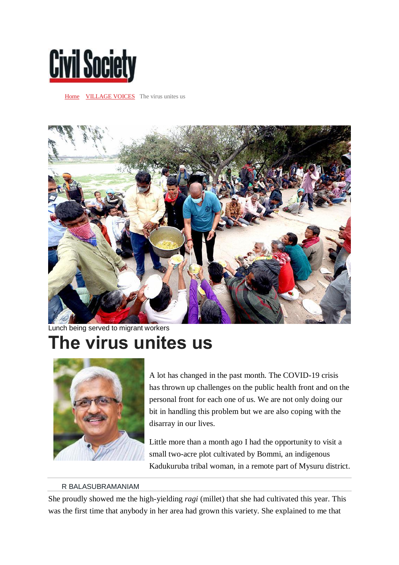

[Home](https://www.civilsocietyonline.com/) **VILLAGE VOICES** The virus unites us



Lunch being served to migrant workers

## **The virus unites us**



A lot has changed in the past month. The COVID-19 crisis has thrown up challenges on the public health front and on the personal front for each one of us. We are not only doing our bit in handling this problem but we are also coping with the disarray in our lives.

Little more than a month ago I had the opportunity to visit a small two-acre plot cultivated by Bommi, an indigenous Kadukuruba tribal woman, in a remote part of Mysuru district.

## R BALASUBRAMANIAM

She proudly showed me the high-yielding *ragi* (millet) that she had cultivated this year. This was the first time that anybody in her area had grown this variety. She explained to me that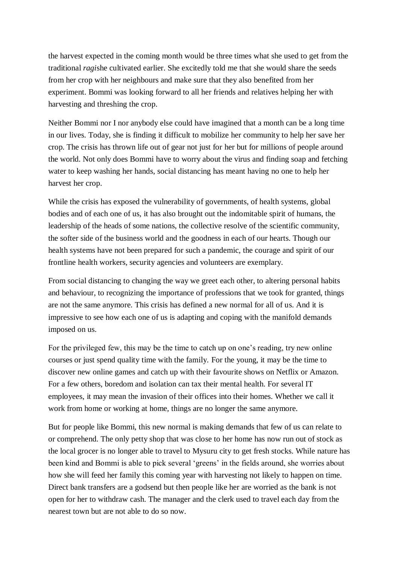the harvest expected in the coming month would be three times what she used to get from the traditional *ragi*she cultivated earlier. She excitedly told me that she would share the seeds from her crop with her neighbours and make sure that they also benefited from her experiment. Bommi was looking forward to all her friends and relatives helping her with harvesting and threshing the crop.

Neither Bommi nor I nor anybody else could have imagined that a month can be a long time in our lives. Today, she is finding it difficult to mobilize her community to help her save her crop. The crisis has thrown life out of gear not just for her but for millions of people around the world. Not only does Bommi have to worry about the virus and finding soap and fetching water to keep washing her hands, social distancing has meant having no one to help her harvest her crop.

While the crisis has exposed the vulnerability of governments, of health systems, global bodies and of each one of us, it has also brought out the indomitable spirit of humans, the leadership of the heads of some nations, the collective resolve of the scientific community, the softer side of the business world and the goodness in each of our hearts. Though our health systems have not been prepared for such a pandemic, the courage and spirit of our frontline health workers, security agencies and volunteers are exemplary.

From social distancing to changing the way we greet each other, to altering personal habits and behaviour, to recognizing the importance of professions that we took for granted, things are not the same anymore. This crisis has defined a new normal for all of us. And it is impressive to see how each one of us is adapting and coping with the manifold demands imposed on us.

For the privileged few, this may be the time to catch up on one's reading, try new online courses or just spend quality time with the family. For the young, it may be the time to discover new online games and catch up with their favourite shows on Netflix or Amazon. For a few others, boredom and isolation can tax their mental health. For several IT employees, it may mean the invasion of their offices into their homes. Whether we call it work from home or working at home, things are no longer the same anymore.

But for people like Bommi, this new normal is making demands that few of us can relate to or comprehend. The only petty shop that was close to her home has now run out of stock as the local grocer is no longer able to travel to Mysuru city to get fresh stocks. While nature has been kind and Bommi is able to pick several 'greens' in the fields around, she worries about how she will feed her family this coming year with harvesting not likely to happen on time. Direct bank transfers are a godsend but then people like her are worried as the bank is not open for her to withdraw cash. The manager and the clerk used to travel each day from the nearest town but are not able to do so now.